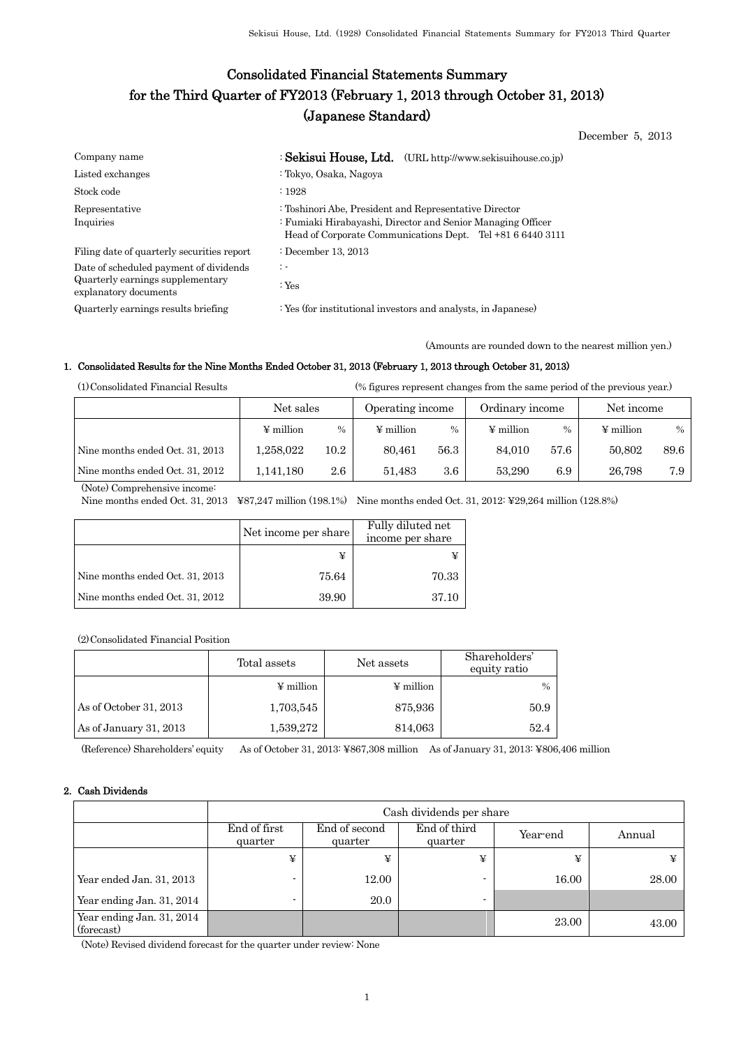# Consolidated Financial Statements Summary for the Third Quarter of FY2013 (February 1, 2013 through October 31, 2013) (Japanese Standard)

December 5, 2013

| Company name                                                                                        | : Sekisui House, Ltd. (URL http://www.sekisuihouse.co.jp)                                                                                                                           |
|-----------------------------------------------------------------------------------------------------|-------------------------------------------------------------------------------------------------------------------------------------------------------------------------------------|
| Listed exchanges                                                                                    | : Tokyo, Osaka, Nagoya                                                                                                                                                              |
| Stock code                                                                                          | $\cdot$ 1928                                                                                                                                                                        |
| Representative<br>Inquiries                                                                         | : Toshinori Abe, President and Representative Director<br>: Fumiaki Hirabayashi, Director and Senior Managing Officer<br>Head of Corporate Communications Dept. Tel +81 6 6440 3111 |
| Filing date of quarterly securities report                                                          | : December 13, 2013                                                                                                                                                                 |
| Date of scheduled payment of dividends<br>Quarterly earnings supplementary<br>explanatory documents | $\ddot{\phantom{1}}$<br>$:$ Yes                                                                                                                                                     |
| Quarterly earnings results briefing                                                                 | : Yes (for institutional investors and analysts, in Japanese)                                                                                                                       |

(Amounts are rounded down to the nearest million yen.)

### 1. Consolidated Results for the Nine Months Ended October 31, 2013 (February 1, 2013 through October 31, 2013)

(1)Consolidated Financial Results (% figures represent changes from the same period of the previous year.)

|                                 | Net sales      |         | Operating income |         | Ordinary income |      | Net income     |      |
|---------------------------------|----------------|---------|------------------|---------|-----------------|------|----------------|------|
|                                 | $\Psi$ million | $\%$    | $\Psi$ million   | $\%$    | $\Psi$ million  | $\%$ | $\Psi$ million | $\%$ |
| Nine months ended Oct. 31, 2013 | 1.258.022      | 10.2    | 80.461           | 56.3    | 84.010          | 57.6 | 50.802         | 89.6 |
| Nine months ended Oct. 31, 2012 | 1,141,180      | $2.6\,$ | 51.483           | $3.6\,$ | 53.290          | 6.9  | 26.798         | 7.9  |

(Note) Comprehensive income:

Nine months ended Oct. 31, 2013 ¥87,247 million (198.1%) Nine months ended Oct. 31, 2012: ¥29,264 million (128.8%)

|                                 | Net income per share | Fully diluted net<br>income per share |
|---------------------------------|----------------------|---------------------------------------|
|                                 |                      |                                       |
| Nine months ended Oct. 31, 2013 | 75.64                | 70.33                                 |
| Nine months ended Oct. 31, 2012 | 39.90                | 37.10                                 |

(2)Consolidated Financial Position

|                        | Total assets   | Net assets            | Shareholders'<br>equity ratio |
|------------------------|----------------|-----------------------|-------------------------------|
|                        | $\Psi$ million | $\frac{1}{2}$ million | $\%$                          |
| As of October 31, 2013 | 1,703,545      | 875,936               | 50.9                          |
| As of January 31, 2013 | 1,539,272      | 814,063               | 52.4                          |

(Reference) Shareholders' equity As of October 31, 2013: ¥867,308 million As of January 31, 2013: ¥806,406 million

### 2. Cash Dividends

|                                         |                         | Cash dividends per share |                |        |       |  |  |  |  |
|-----------------------------------------|-------------------------|--------------------------|----------------|--------|-------|--|--|--|--|
|                                         | End of first<br>quarter | End of second<br>quarter | Year-end       | Annual |       |  |  |  |  |
|                                         | ¥                       | ¥                        | ¥              | ¥      | ¥     |  |  |  |  |
| Year ended Jan. 31, 2013                |                         | 12.00                    |                | 16.00  | 28.00 |  |  |  |  |
| Year ending Jan. 31, 2014               |                         | 20.0                     | $\blacksquare$ |        |       |  |  |  |  |
| Year ending Jan. 31, 2014<br>(forecast) |                         |                          |                | 23.00  | 43.00 |  |  |  |  |

(Note) Revised dividend forecast for the quarter under review: None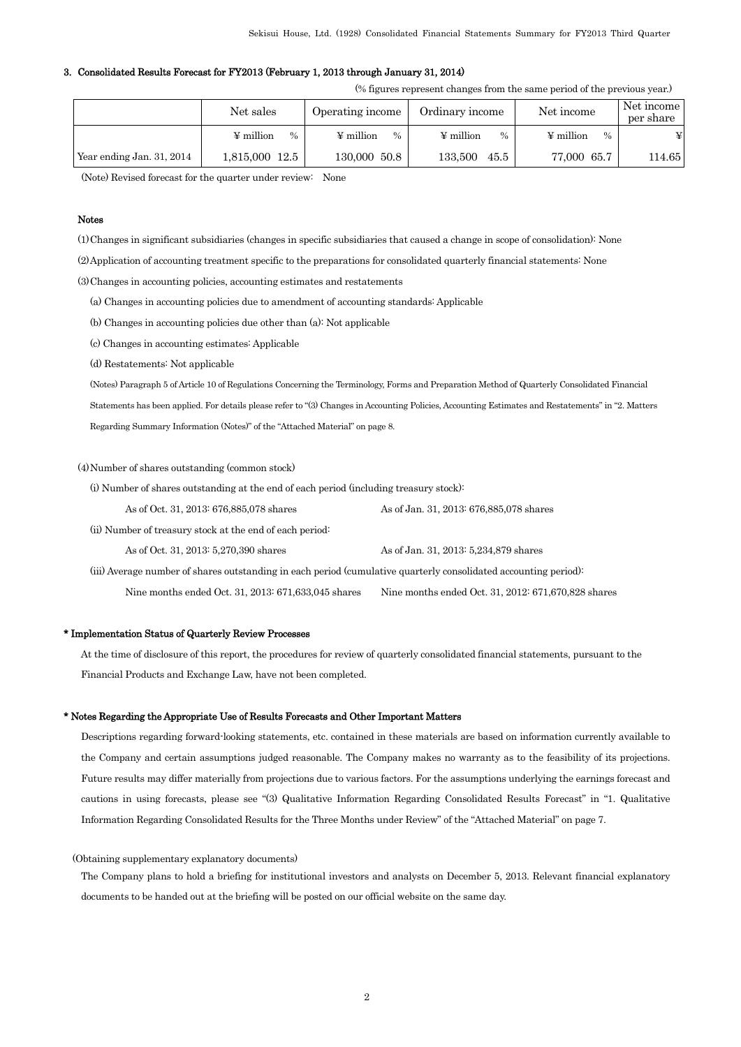#### 3. Consolidated Results Forecast for FY2013 (February 1, 2013 through January 31, 2014)

(% figures represent changes from the same period of the previous year.)

|                           | Net sales                  | Operating income       | Ordinary income        | Net income             |        |
|---------------------------|----------------------------|------------------------|------------------------|------------------------|--------|
|                           | ¥ million<br>$\frac{0}{0}$ | $\Psi$ million<br>$\%$ | $\Psi$ million<br>$\%$ | $\Psi$ million<br>$\%$ | ¥      |
| Year ending Jan. 31, 2014 | 1,815,000 12.5             | 130,000 50.8           | 133.500<br>45.5        | 77,000 65.7            | 114.65 |

(Note) Revised forecast for the quarter under review: None

#### Notes

(1)Changes in significant subsidiaries (changes in specific subsidiaries that caused a change in scope of consolidation): None

(2)Application of accounting treatment specific to the preparations for consolidated quarterly financial statements: None

(3)Changes in accounting policies, accounting estimates and restatements

(a) Changes in accounting policies due to amendment of accounting standards: Applicable

(b) Changes in accounting policies due other than (a): Not applicable

(c) Changes in accounting estimates: Applicable

(d) Restatements: Not applicable

(Notes) Paragraph 5 of Article 10 of Regulations Concerning the Terminology, Forms and Preparation Method of Quarterly Consolidated Financial Statements has been applied. For details please refer to "(3) Changes in Accounting Policies, Accounting Estimates and Restatements" in "2. Matters Regarding Summary Information (Notes)" of the "Attached Material" on page 8.

### (4)Number of shares outstanding (common stock)

(i) Number of shares outstanding at the end of each period (including treasury stock):

As of Oct. 31, 2013: 676,885,078 shares As of Jan. 31, 2013: 676,885,078 shares

(ii) Number of treasury stock at the end of each period:

As of Oct. 31, 2013: 5,270,390 shares As of Jan. 31, 2013: 5,234,879 shares

 (iii) Average number of shares outstanding in each period (cumulative quarterly consolidated accounting period): Nine months ended Oct. 31, 2013: 671,633,045 shares Nine months ended Oct. 31, 2012: 671,670,828 shares

#### \* Implementation Status of Quarterly Review Processes

At the time of disclosure of this report, the procedures for review of quarterly consolidated financial statements, pursuant to the Financial Products and Exchange Law, have not been completed.

#### \* Notes Regarding the Appropriate Use of Results Forecasts and Other Important Matters

Descriptions regarding forward-looking statements, etc. contained in these materials are based on information currently available to the Company and certain assumptions judged reasonable. The Company makes no warranty as to the feasibility of its projections. Future results may differ materially from projections due to various factors. For the assumptions underlying the earnings forecast and cautions in using forecasts, please see "(3) Qualitative Information Regarding Consolidated Results Forecast" in "1. Qualitative Information Regarding Consolidated Results for the Three Months under Review" of the "Attached Material" on page 7.

#### (Obtaining supplementary explanatory documents)

The Company plans to hold a briefing for institutional investors and analysts on December 5, 2013. Relevant financial explanatory documents to be handed out at the briefing will be posted on our official website on the same day.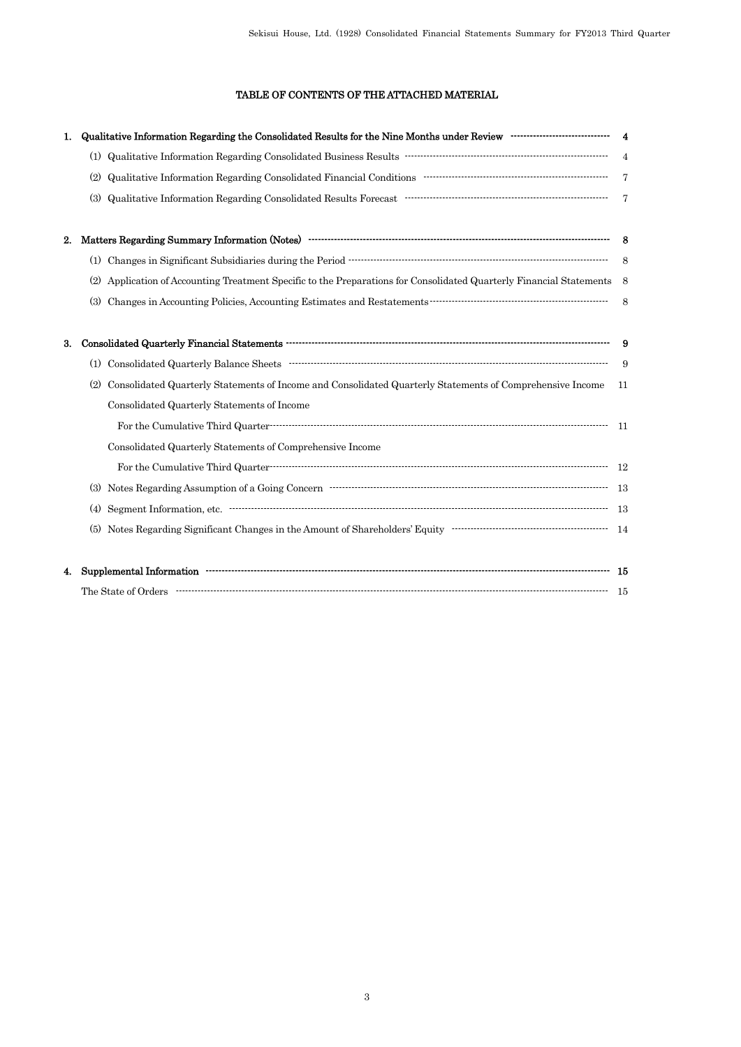## TABLE OF CONTENTS OF THE ATTACHED MATERIAL

| 1. |                                                                                                                                                                                                                                                                                                                                                                                                                                                                                                                                                                                                                                                                           |                |
|----|---------------------------------------------------------------------------------------------------------------------------------------------------------------------------------------------------------------------------------------------------------------------------------------------------------------------------------------------------------------------------------------------------------------------------------------------------------------------------------------------------------------------------------------------------------------------------------------------------------------------------------------------------------------------------|----------------|
|    |                                                                                                                                                                                                                                                                                                                                                                                                                                                                                                                                                                                                                                                                           |                |
|    | (2)                                                                                                                                                                                                                                                                                                                                                                                                                                                                                                                                                                                                                                                                       | $\overline{7}$ |
|    | $\label{lem:q} \textbf{Qualitative Information Regarding Consolidated Results Forecast}\footnotesize\begin{minipage}{.45\textwidth} \begin{tabular}{l} \textbf{Qualitative Information Regarding Consolidated Results Forecast}\end{tabular} \end{minipage}% \end{minipage}% \begin{minipage}{.45\textwidth} \begin{tabular}{l} \textbf{Qualitative Information Research:} \end{tabular} \end{minipage}% \end{minipage}% \begin{minipage}{.45\textwidth} \begin{tabular}{l} \textbf{Qualitative Information Research:} \end{tabular} \end{minipage}% \end{minipage}% \begin{minipage}{.45\textwidth} \begin{tabular}{l} \textbf{Qualitative Information Research:$<br>(3) |                |
| 2. |                                                                                                                                                                                                                                                                                                                                                                                                                                                                                                                                                                                                                                                                           |                |
|    |                                                                                                                                                                                                                                                                                                                                                                                                                                                                                                                                                                                                                                                                           |                |
|    | Application of Accounting Treatment Specific to the Preparations for Consolidated Quarterly Financial Statements 8<br>(2)                                                                                                                                                                                                                                                                                                                                                                                                                                                                                                                                                 |                |
|    | (3)                                                                                                                                                                                                                                                                                                                                                                                                                                                                                                                                                                                                                                                                       | 8              |
| 3. |                                                                                                                                                                                                                                                                                                                                                                                                                                                                                                                                                                                                                                                                           |                |
|    |                                                                                                                                                                                                                                                                                                                                                                                                                                                                                                                                                                                                                                                                           | 9              |
|    | Consolidated Quarterly Statements of Income and Consolidated Quarterly Statements of Comprehensive Income<br>(2)                                                                                                                                                                                                                                                                                                                                                                                                                                                                                                                                                          | 11             |
|    | Consolidated Quarterly Statements of Income                                                                                                                                                                                                                                                                                                                                                                                                                                                                                                                                                                                                                               |                |
|    |                                                                                                                                                                                                                                                                                                                                                                                                                                                                                                                                                                                                                                                                           |                |
|    | Consolidated Quarterly Statements of Comprehensive Income                                                                                                                                                                                                                                                                                                                                                                                                                                                                                                                                                                                                                 |                |
|    |                                                                                                                                                                                                                                                                                                                                                                                                                                                                                                                                                                                                                                                                           |                |
|    | (3)                                                                                                                                                                                                                                                                                                                                                                                                                                                                                                                                                                                                                                                                       |                |
|    | (4)                                                                                                                                                                                                                                                                                                                                                                                                                                                                                                                                                                                                                                                                       |                |
|    | Notes Regarding Significant Changes in the Amount of Shareholders' Equity<br>$\begin{minipage}[c]{0.9\linewidth} \hfill \begin{minipage}[c]{0.9\linewidth} \centering \end{minipage} \begin{minipage}[c]{0.9\linewidth} \centering \begin{minipage}[c]{0.9\linewidth} \centering \end{minipage} \begin{minipage}[c]{0.9\linewidth} \centering \end{minipage} \begin{minipage}[c]{0.9\linewidth} \centering \end{minipage} \begin{minipage}[c]{$<br>(5)                                                                                                                                                                                                                    |                |
| 4. |                                                                                                                                                                                                                                                                                                                                                                                                                                                                                                                                                                                                                                                                           |                |
|    |                                                                                                                                                                                                                                                                                                                                                                                                                                                                                                                                                                                                                                                                           |                |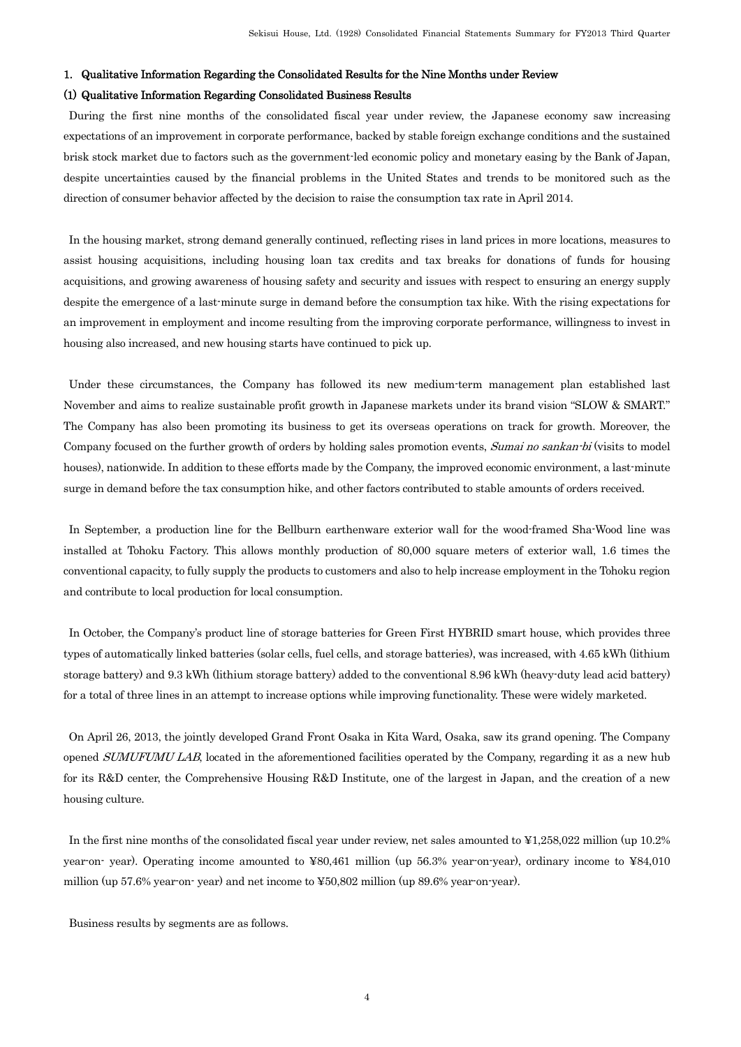### 1. Qualitative Information Regarding the Consolidated Results for the Nine Months under Review

### (1) Qualitative Information Regarding Consolidated Business Results

During the first nine months of the consolidated fiscal year under review, the Japanese economy saw increasing expectations of an improvement in corporate performance, backed by stable foreign exchange conditions and the sustained brisk stock market due to factors such as the government-led economic policy and monetary easing by the Bank of Japan, despite uncertainties caused by the financial problems in the United States and trends to be monitored such as the direction of consumer behavior affected by the decision to raise the consumption tax rate in April 2014.

In the housing market, strong demand generally continued, reflecting rises in land prices in more locations, measures to assist housing acquisitions, including housing loan tax credits and tax breaks for donations of funds for housing acquisitions, and growing awareness of housing safety and security and issues with respect to ensuring an energy supply despite the emergence of a last-minute surge in demand before the consumption tax hike. With the rising expectations for an improvement in employment and income resulting from the improving corporate performance, willingness to invest in housing also increased, and new housing starts have continued to pick up.

Under these circumstances, the Company has followed its new medium-term management plan established last November and aims to realize sustainable profit growth in Japanese markets under its brand vision "SLOW & SMART." The Company has also been promoting its business to get its overseas operations on track for growth. Moreover, the Company focused on the further growth of orders by holding sales promotion events, Sumai no sankan-bi (visits to model houses), nationwide. In addition to these efforts made by the Company, the improved economic environment, a last-minute surge in demand before the tax consumption hike, and other factors contributed to stable amounts of orders received.

In September, a production line for the Bellburn earthenware exterior wall for the wood-framed Sha-Wood line was installed at Tohoku Factory. This allows monthly production of 80,000 square meters of exterior wall, 1.6 times the conventional capacity, to fully supply the products to customers and also to help increase employment in the Tohoku region and contribute to local production for local consumption.

In October, the Company's product line of storage batteries for Green First HYBRID smart house, which provides three types of automatically linked batteries (solar cells, fuel cells, and storage batteries), was increased, with 4.65 kWh (lithium storage battery) and 9.3 kWh (lithium storage battery) added to the conventional 8.96 kWh (heavy-duty lead acid battery) for a total of three lines in an attempt to increase options while improving functionality. These were widely marketed.

On April 26, 2013, the jointly developed Grand Front Osaka in Kita Ward, Osaka, saw its grand opening. The Company opened SUMUFUMU LAB, located in the aforementioned facilities operated by the Company, regarding it as a new hub for its R&D center, the Comprehensive Housing R&D Institute, one of the largest in Japan, and the creation of a new housing culture.

In the first nine months of the consolidated fiscal year under review, net sales amounted to ¥1,258,022 million (up 10.2% year-on- year). Operating income amounted to ¥80,461 million (up 56.3% year-on-year), ordinary income to ¥84,010 million (up 57.6% year-on- year) and net income to ¥50,802 million (up 89.6% year-on-year).

Business results by segments are as follows.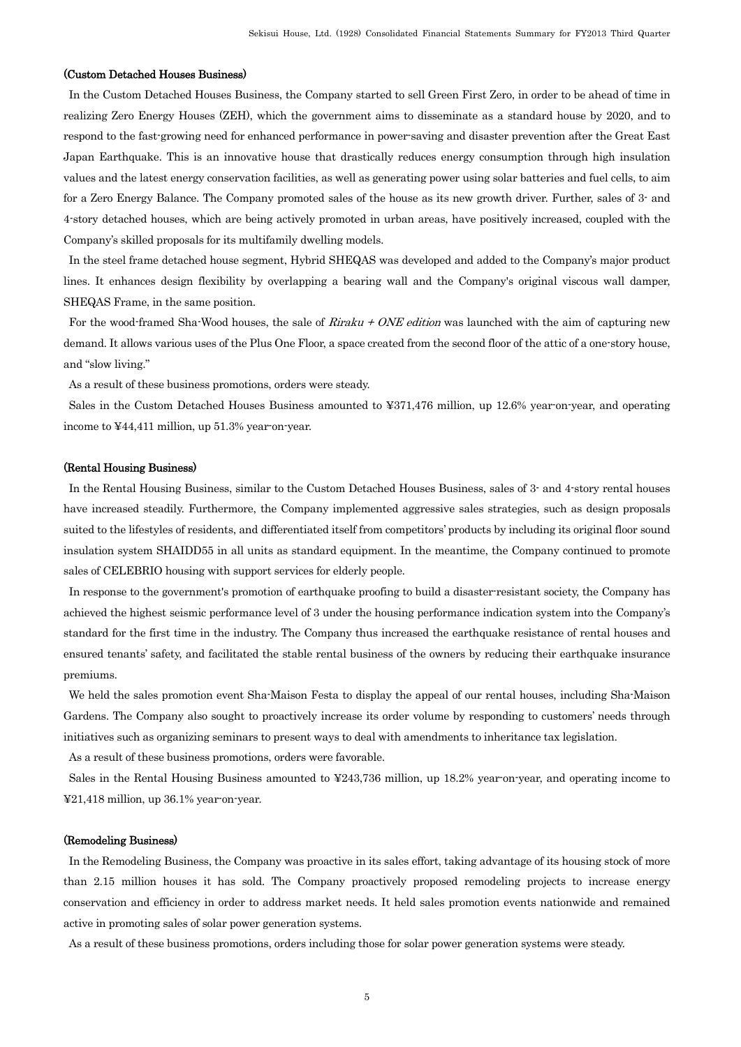### (Custom Detached Houses Business)

In the Custom Detached Houses Business, the Company started to sell Green First Zero, in order to be ahead of time in realizing Zero Energy Houses (ZEH), which the government aims to disseminate as a standard house by 2020, and to respond to the fast-growing need for enhanced performance in power-saving and disaster prevention after the Great East Japan Earthquake. This is an innovative house that drastically reduces energy consumption through high insulation values and the latest energy conservation facilities, as well as generating power using solar batteries and fuel cells, to aim for a Zero Energy Balance. The Company promoted sales of the house as its new growth driver. Further, sales of 3- and 4-story detached houses, which are being actively promoted in urban areas, have positively increased, coupled with the Company's skilled proposals for its multifamily dwelling models.

In the steel frame detached house segment, Hybrid SHEQAS was developed and added to the Company's major product lines. It enhances design flexibility by overlapping a bearing wall and the Company's original viscous wall damper, SHEQAS Frame, in the same position.

For the wood-framed Sha-Wood houses, the sale of *Riraku + ONE edition* was launched with the aim of capturing new demand. It allows various uses of the Plus One Floor, a space created from the second floor of the attic of a one-story house, and "slow living."

As a result of these business promotions, orders were steady.

Sales in the Custom Detached Houses Business amounted to ¥371,476 million, up 12.6% year-on-year, and operating income to ¥44,411 million, up 51.3% year-on-year.

#### (Rental Housing Business)

In the Rental Housing Business, similar to the Custom Detached Houses Business, sales of 3- and 4-story rental houses have increased steadily. Furthermore, the Company implemented aggressive sales strategies, such as design proposals suited to the lifestyles of residents, and differentiated itself from competitors' products by including its original floor sound insulation system SHAIDD55 in all units as standard equipment. In the meantime, the Company continued to promote sales of CELEBRIO housing with support services for elderly people.

In response to the government's promotion of earthquake proofing to build a disaster-resistant society, the Company has achieved the highest seismic performance level of 3 under the housing performance indication system into the Company's standard for the first time in the industry. The Company thus increased the earthquake resistance of rental houses and ensured tenants' safety, and facilitated the stable rental business of the owners by reducing their earthquake insurance premiums.

We held the sales promotion event Sha-Maison Festa to display the appeal of our rental houses, including Sha-Maison Gardens. The Company also sought to proactively increase its order volume by responding to customers' needs through initiatives such as organizing seminars to present ways to deal with amendments to inheritance tax legislation.

As a result of these business promotions, orders were favorable.

Sales in the Rental Housing Business amounted to ¥243,736 million, up 18.2% year-on-year, and operating income to ¥21,418 million, up 36.1% year-on-year.

### (Remodeling Business)

In the Remodeling Business, the Company was proactive in its sales effort, taking advantage of its housing stock of more than 2.15 million houses it has sold. The Company proactively proposed remodeling projects to increase energy conservation and efficiency in order to address market needs. It held sales promotion events nationwide and remained active in promoting sales of solar power generation systems.

As a result of these business promotions, orders including those for solar power generation systems were steady.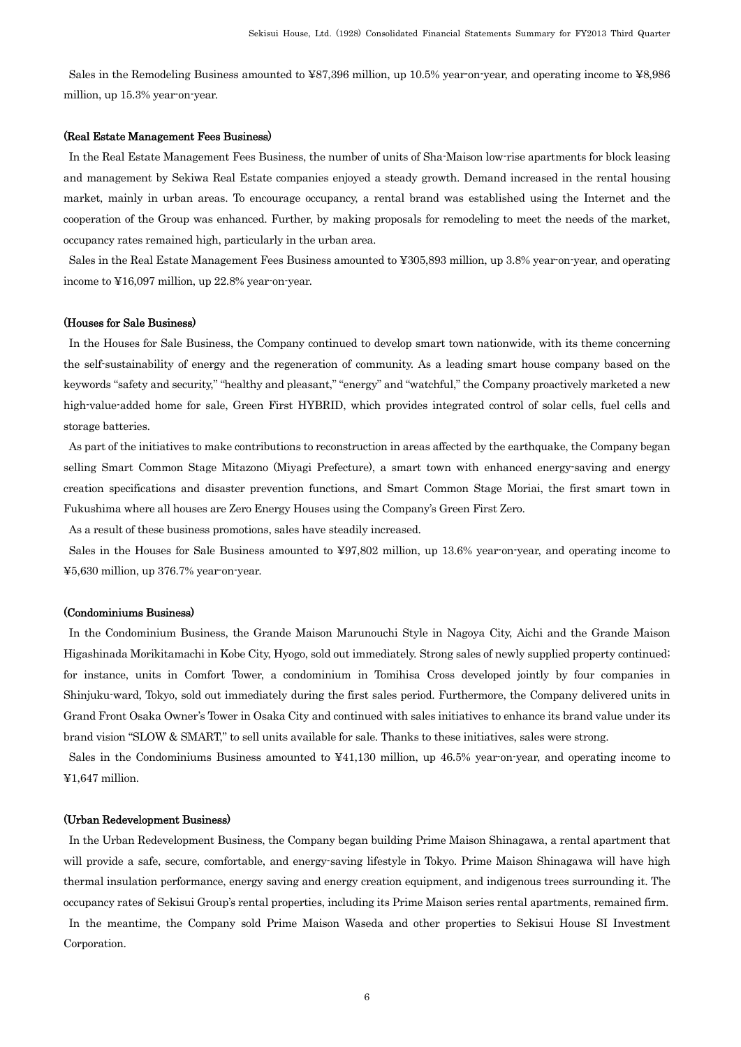Sales in the Remodeling Business amounted to ¥87,396 million, up 10.5% year-on-year, and operating income to ¥8,986 million, up 15.3% year-on-year.

#### (Real Estate Management Fees Business)

In the Real Estate Management Fees Business, the number of units of Sha-Maison low-rise apartments for block leasing and management by Sekiwa Real Estate companies enjoyed a steady growth. Demand increased in the rental housing market, mainly in urban areas. To encourage occupancy, a rental brand was established using the Internet and the cooperation of the Group was enhanced. Further, by making proposals for remodeling to meet the needs of the market, occupancy rates remained high, particularly in the urban area.

Sales in the Real Estate Management Fees Business amounted to ¥305,893 million, up 3.8% year-on-year, and operating income to ¥16,097 million, up 22.8% year-on-year.

#### (Houses for Sale Business)

In the Houses for Sale Business, the Company continued to develop smart town nationwide, with its theme concerning the self-sustainability of energy and the regeneration of community. As a leading smart house company based on the keywords "safety and security," "healthy and pleasant," "energy" and "watchful," the Company proactively marketed a new high-value-added home for sale, Green First HYBRID, which provides integrated control of solar cells, fuel cells and storage batteries.

As part of the initiatives to make contributions to reconstruction in areas affected by the earthquake, the Company began selling Smart Common Stage Mitazono (Miyagi Prefecture), a smart town with enhanced energy-saving and energy creation specifications and disaster prevention functions, and Smart Common Stage Moriai, the first smart town in Fukushima where all houses are Zero Energy Houses using the Company's Green First Zero.

As a result of these business promotions, sales have steadily increased.

Sales in the Houses for Sale Business amounted to ¥97,802 million, up 13.6% year-on-year, and operating income to ¥5,630 million, up 376.7% year-on-year.

#### (Condominiums Business)

In the Condominium Business, the Grande Maison Marunouchi Style in Nagoya City, Aichi and the Grande Maison Higashinada Morikitamachi in Kobe City, Hyogo, sold out immediately. Strong sales of newly supplied property continued; for instance, units in Comfort Tower, a condominium in Tomihisa Cross developed jointly by four companies in Shinjuku-ward, Tokyo, sold out immediately during the first sales period. Furthermore, the Company delivered units in Grand Front Osaka Owner's Tower in Osaka City and continued with sales initiatives to enhance its brand value under its brand vision "SLOW & SMART," to sell units available for sale. Thanks to these initiatives, sales were strong.

Sales in the Condominiums Business amounted to ¥41,130 million, up 46.5% year-on-year, and operating income to ¥1,647 million.

#### (Urban Redevelopment Business)

In the Urban Redevelopment Business, the Company began building Prime Maison Shinagawa, a rental apartment that will provide a safe, secure, comfortable, and energy-saving lifestyle in Tokyo. Prime Maison Shinagawa will have high thermal insulation performance, energy saving and energy creation equipment, and indigenous trees surrounding it. The occupancy rates of Sekisui Group's rental properties, including its Prime Maison series rental apartments, remained firm. In the meantime, the Company sold Prime Maison Waseda and other properties to Sekisui House SI Investment Corporation.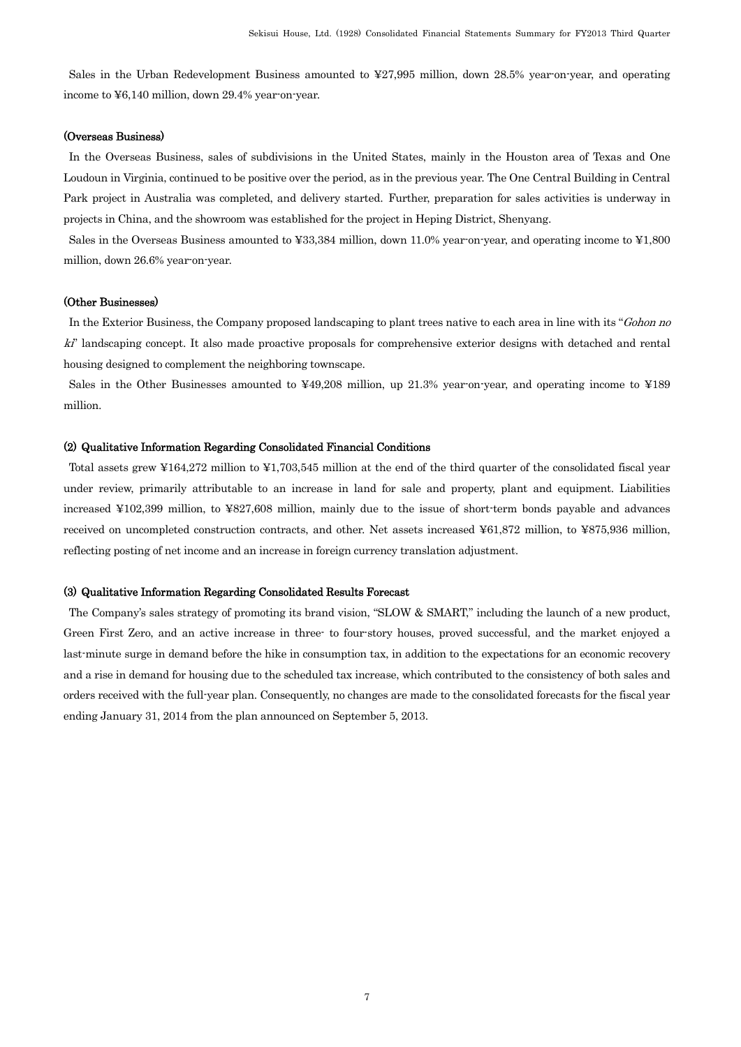Sales in the Urban Redevelopment Business amounted to ¥27,995 million, down 28.5% year-on-year, and operating income to ¥6,140 million, down 29.4% year-on-year.

#### (Overseas Business)

In the Overseas Business, sales of subdivisions in the United States, mainly in the Houston area of Texas and One Loudoun in Virginia, continued to be positive over the period, as in the previous year. The One Central Building in Central Park project in Australia was completed, and delivery started. Further, preparation for sales activities is underway in projects in China, and the showroom was established for the project in Heping District, Shenyang.

Sales in the Overseas Business amounted to ¥33,384 million, down 11.0% year-on-year, and operating income to ¥1,800 million, down 26.6% year-on-year.

#### (Other Businesses)

In the Exterior Business, the Company proposed landscaping to plant trees native to each area in line with its "Gohon no ki" landscaping concept. It also made proactive proposals for comprehensive exterior designs with detached and rental housing designed to complement the neighboring townscape.

Sales in the Other Businesses amounted to ¥49,208 million, up 21.3% year-on-year, and operating income to ¥189 million.

#### (2) Qualitative Information Regarding Consolidated Financial Conditions

Total assets grew ¥164,272 million to ¥1,703,545 million at the end of the third quarter of the consolidated fiscal year under review, primarily attributable to an increase in land for sale and property, plant and equipment. Liabilities increased ¥102,399 million, to ¥827,608 million, mainly due to the issue of short-term bonds payable and advances received on uncompleted construction contracts, and other. Net assets increased ¥61,872 million, to ¥875,936 million, reflecting posting of net income and an increase in foreign currency translation adjustment.

### (3) Qualitative Information Regarding Consolidated Results Forecast

The Company's sales strategy of promoting its brand vision, "SLOW & SMART," including the launch of a new product, Green First Zero, and an active increase in three- to four-story houses, proved successful, and the market enjoyed a last-minute surge in demand before the hike in consumption tax, in addition to the expectations for an economic recovery and a rise in demand for housing due to the scheduled tax increase, which contributed to the consistency of both sales and orders received with the full-year plan. Consequently, no changes are made to the consolidated forecasts for the fiscal year ending January 31, 2014 from the plan announced on September 5, 2013.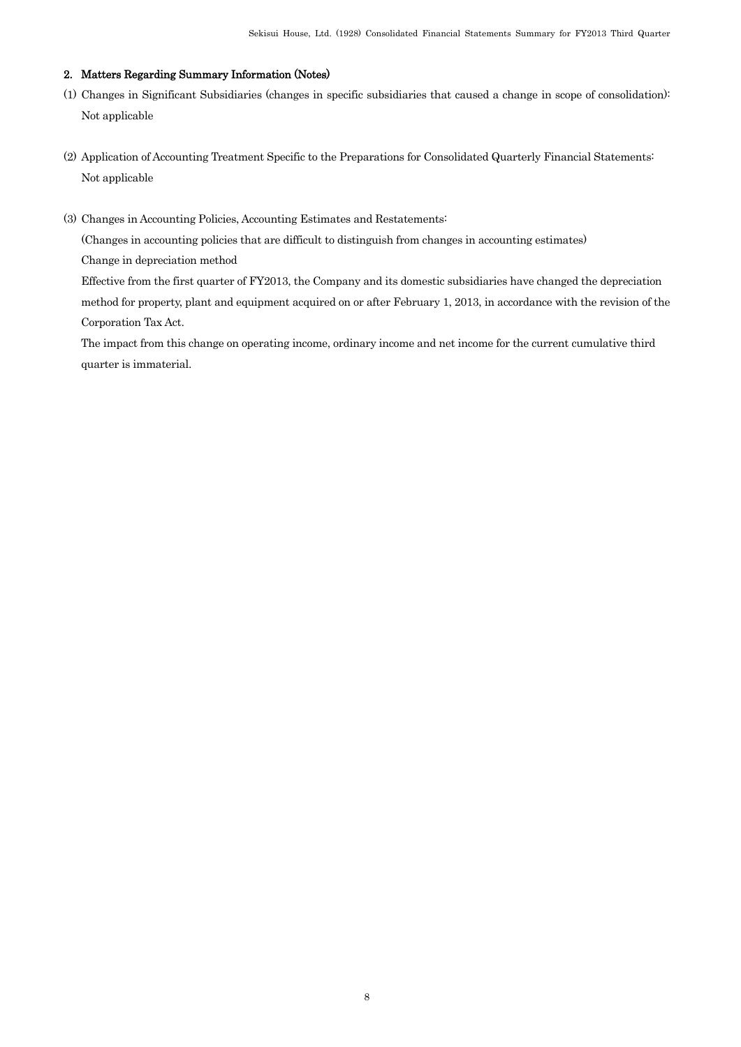## 2. Matters Regarding Summary Information (Notes)

- (1) Changes in Significant Subsidiaries (changes in specific subsidiaries that caused a change in scope of consolidation): Not applicable
- (2) Application of Accounting Treatment Specific to the Preparations for Consolidated Quarterly Financial Statements: Not applicable
- (3) Changes in Accounting Policies, Accounting Estimates and Restatements:

(Changes in accounting policies that are difficult to distinguish from changes in accounting estimates)

Change in depreciation method

Effective from the first quarter of FY2013, the Company and its domestic subsidiaries have changed the depreciation method for property, plant and equipment acquired on or after February 1, 2013, in accordance with the revision of the Corporation Tax Act.

The impact from this change on operating income, ordinary income and net income for the current cumulative third quarter is immaterial.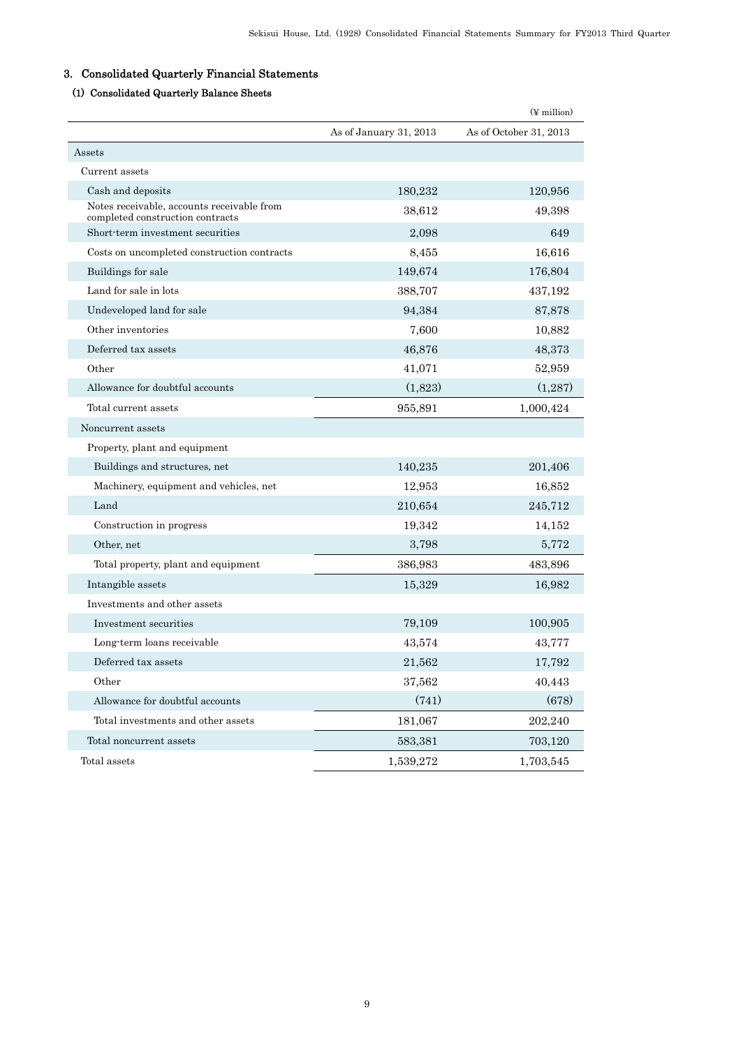## 3. Consolidated Quarterly Financial Statements

## (1) Consolidated Quarterly Balance Sheets

|                                                                                |                        | $(\frac{y}{x})$ million |
|--------------------------------------------------------------------------------|------------------------|-------------------------|
|                                                                                | As of January 31, 2013 | As of October 31, 2013  |
| Assets                                                                         |                        |                         |
| Current assets                                                                 |                        |                         |
| Cash and deposits                                                              | 180,232                | 120,956                 |
| Notes receivable, accounts receivable from<br>completed construction contracts | 38,612                 | 49,398                  |
| Short-term investment securities                                               | 2,098                  | 649                     |
| Costs on uncompleted construction contracts                                    | 8,455                  | 16,616                  |
| Buildings for sale                                                             | 149,674                | 176,804                 |
| Land for sale in lots                                                          | 388,707                | 437,192                 |
| Undeveloped land for sale                                                      | 94,384                 | 87,878                  |
| Other inventories                                                              | 7,600                  | 10,882                  |
| Deferred tax assets                                                            | 46,876                 | 48,373                  |
| Other                                                                          | 41,071                 | 52,959                  |
| Allowance for doubtful accounts                                                | (1,823)                | (1,287)                 |
| Total current assets                                                           | 955,891                | 1,000,424               |
| Noncurrent assets                                                              |                        |                         |
| Property, plant and equipment                                                  |                        |                         |
| Buildings and structures, net                                                  | 140,235                | 201,406                 |
| Machinery, equipment and vehicles, net                                         | 12,953                 | 16,852                  |
| Land                                                                           | 210,654                | 245,712                 |
| Construction in progress                                                       | 19,342                 | 14,152                  |
| Other, net                                                                     | 3,798                  | 5,772                   |
| Total property, plant and equipment                                            | 386,983                | 483,896                 |
| Intangible assets                                                              | 15,329                 | 16,982                  |
| Investments and other assets                                                   |                        |                         |
| Investment securities                                                          | 79,109                 | 100,905                 |
| Long term loans receivable                                                     | 43,574                 | 43,777                  |
| Deferred tax assets                                                            | 21,562                 | 17,792                  |
| Other                                                                          | 37,562                 | 40,443                  |
| Allowance for doubtful accounts                                                | (741)                  | (678)                   |
| Total investments and other assets                                             | 181,067                | 202,240                 |
| Total noncurrent assets                                                        | 583,381                | 703,120                 |
| Total assets                                                                   | 1,539,272              | 1,703,545               |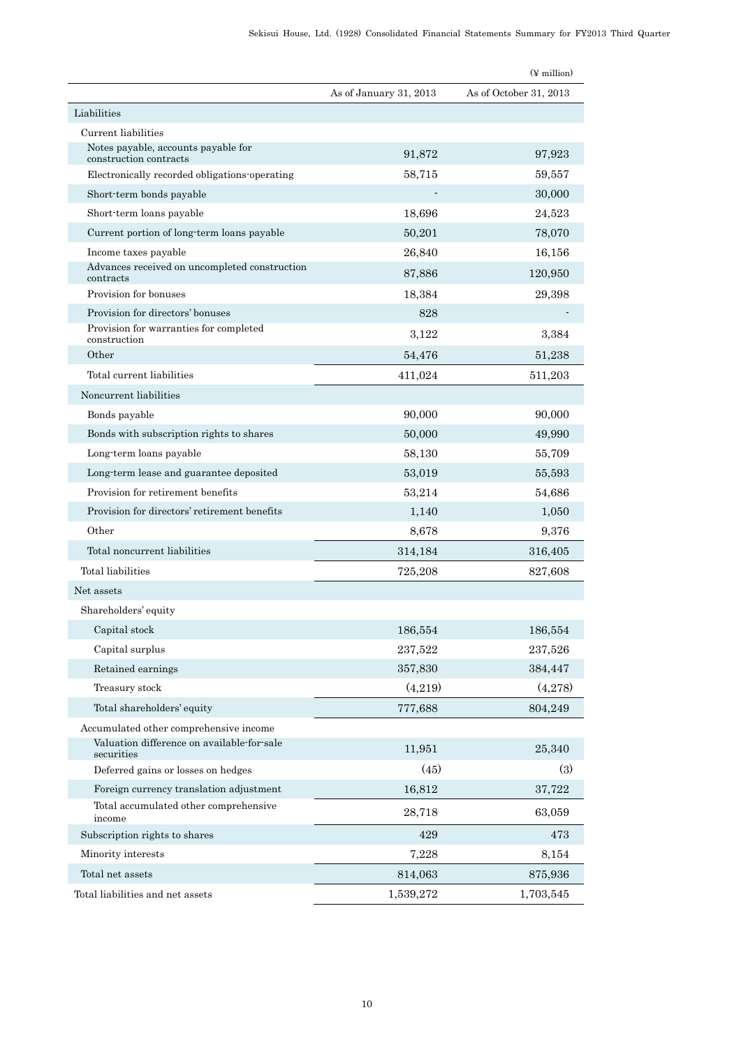|                                                               |                        | $(\frac{y}{x})$ million |
|---------------------------------------------------------------|------------------------|-------------------------|
|                                                               | As of January 31, 2013 | As of October 31, 2013  |
| Liabilities                                                   |                        |                         |
| Current liabilities                                           |                        |                         |
| Notes payable, accounts payable for<br>construction contracts | 91,872                 | 97,923                  |
| Electronically recorded obligations operating                 | 58,715                 | 59,557                  |
| Short-term bonds payable                                      |                        | 30,000                  |
| Short-term loans payable                                      | 18,696                 | 24,523                  |
| Current portion of long term loans payable                    | 50,201                 | 78,070                  |
| Income taxes payable                                          | 26,840                 | 16,156                  |
| Advances received on uncompleted construction<br>contracts    | 87,886                 | 120,950                 |
| Provision for bonuses                                         | 18,384                 | 29,398                  |
| Provision for directors' bonuses                              | 828                    |                         |
| Provision for warranties for completed<br>construction        | 3,122                  | 3,384                   |
| Other                                                         | 54,476                 | 51,238                  |
| Total current liabilities                                     | 411,024                | 511,203                 |
| Noncurrent liabilities                                        |                        |                         |
| Bonds payable                                                 | 90,000                 | 90,000                  |
| Bonds with subscription rights to shares                      | 50,000                 | 49,990                  |
| Long-term loans payable                                       | 58,130                 | 55,709                  |
| Long term lease and guarantee deposited                       | 53,019                 | 55,593                  |
| Provision for retirement benefits                             | 53,214                 | 54,686                  |
| Provision for directors' retirement benefits                  | 1,140                  | 1,050                   |
| Other                                                         | 8,678                  | 9,376                   |
| Total noncurrent liabilities                                  | 314,184                | 316,405                 |
| Total liabilities                                             | 725,208                | 827,608                 |
| Net assets                                                    |                        |                         |
| Shareholders' equity                                          |                        |                         |
| Capital stock                                                 | 186,554                | 186,554                 |
| Capital surplus                                               | 237,522                | 237,526                 |
| Retained earnings                                             | 357,830                | 384,447                 |
| Treasury stock                                                | (4,219)                | (4,278)                 |
| Total shareholders' equity                                    | 777,688                | 804,249                 |
| Accumulated other comprehensive income                        |                        |                         |
| Valuation difference on available-for-sale<br>securities      | 11,951                 | 25,340                  |
| Deferred gains or losses on hedges                            | (45)                   | (3)                     |
| Foreign currency translation adjustment                       | 16,812                 | 37,722                  |
| Total accumulated other comprehensive<br>income               | 28,718                 | 63,059                  |
| Subscription rights to shares                                 | 429                    | 473                     |
| Minority interests                                            | 7,228                  | 8,154                   |
| Total net assets                                              | 814,063                | 875,936                 |
| Total liabilities and net assets                              | 1,539,272              | 1,703,545               |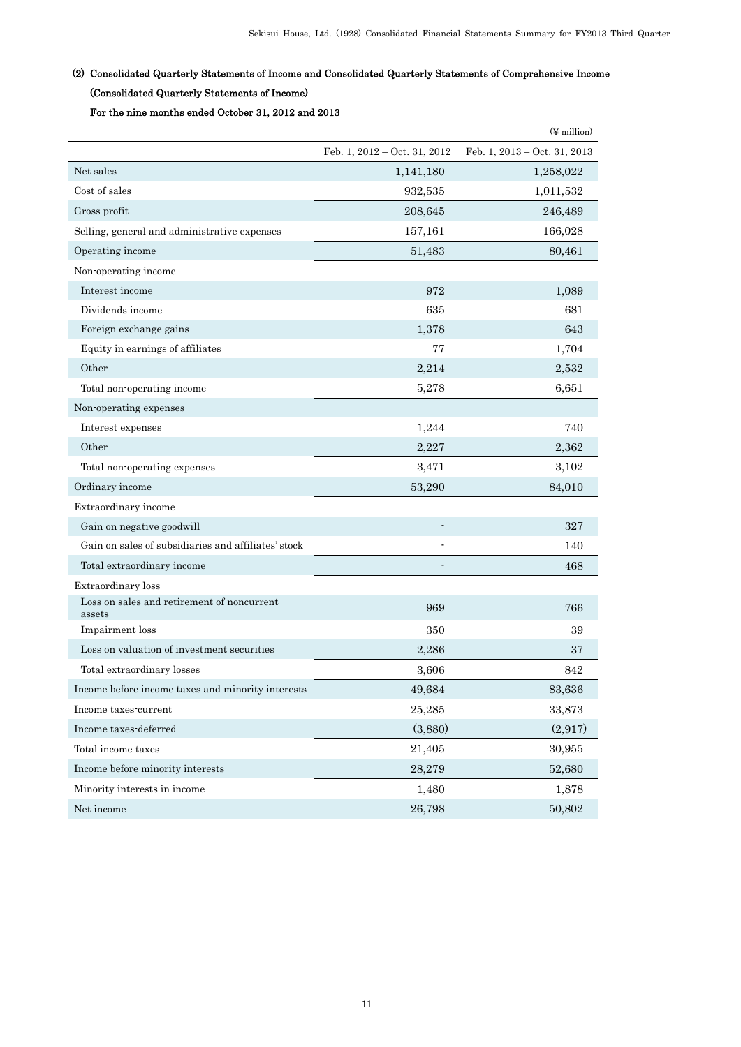## (2) Consolidated Quarterly Statements of Income and Consolidated Quarterly Statements of Comprehensive Income (Consolidated Quarterly Statements of Income)

For the nine months ended October 31, 2012 and 2013

|                                                      |                                | $(\frac{y}{x})$ million      |
|------------------------------------------------------|--------------------------------|------------------------------|
|                                                      | Feb. 1, $2012 - Oct. 31, 2012$ | Feb. 1, 2013 - Oct. 31, 2013 |
| Net sales                                            | 1,141,180                      | 1,258,022                    |
| Cost of sales                                        | 932,535                        | 1,011,532                    |
| Gross profit                                         | 208,645                        | 246,489                      |
| Selling, general and administrative expenses         | 157,161                        | 166,028                      |
| Operating income                                     | 51,483                         | 80,461                       |
| Non-operating income                                 |                                |                              |
| Interest income                                      | 972                            | 1,089                        |
| Dividends income                                     | 635                            | 681                          |
| Foreign exchange gains                               | 1,378                          | 643                          |
| Equity in earnings of affiliates                     | 77                             | 1,704                        |
| Other                                                | 2,214                          | 2,532                        |
| Total non-operating income                           | 5,278                          | 6,651                        |
| Non-operating expenses                               |                                |                              |
| Interest expenses                                    | 1,244                          | 740                          |
| Other                                                | 2,227                          | 2,362                        |
| Total non-operating expenses                         | 3.471                          | 3,102                        |
| Ordinary income                                      | 53,290                         | 84,010                       |
| Extraordinary income                                 |                                |                              |
| Gain on negative goodwill                            |                                | 327                          |
| Gain on sales of subsidiaries and affiliates' stock  |                                | 140                          |
| Total extraordinary income                           |                                | 468                          |
| Extraordinary loss                                   |                                |                              |
| Loss on sales and retirement of noncurrent<br>assets | 969                            | 766                          |
| Impairment loss                                      | 350                            | 39                           |
| Loss on valuation of investment securities           | 2,286                          | 37                           |
| Total extraordinary losses                           | 3,606                          | 842                          |
| Income before income taxes and minority interests    | 49,684                         | 83,636                       |
| Income taxes-current                                 | 25,285                         | 33,873                       |
| Income taxes-deferred                                | (3,880)                        | (2,917)                      |
| Total income taxes                                   | 21,405                         | 30,955                       |
| Income before minority interests                     | 28,279                         | 52,680                       |
| Minority interests in income                         | 1,480                          | 1,878                        |
| Net income                                           | 26,798                         | 50,802                       |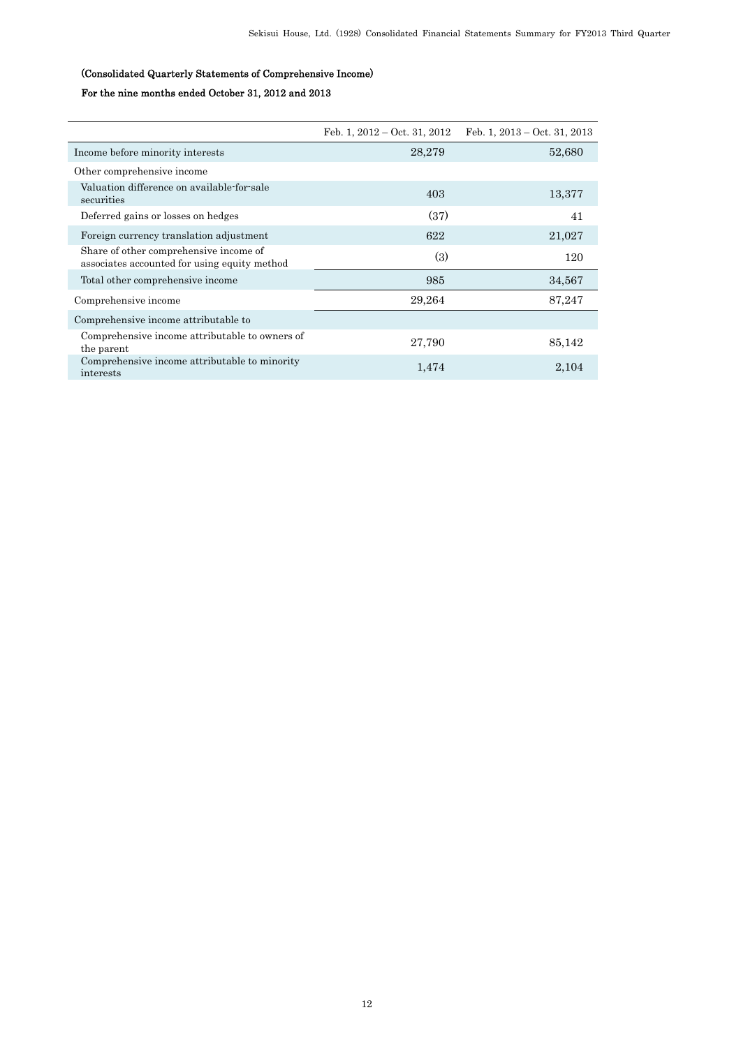## (Consolidated Quarterly Statements of Comprehensive Income)

## For the nine months ended October 31, 2012 and 2013

|                                                                                        | Feb. 1, $2012 - Oct. 31, 2012$ | Feb. 1, $2013 - Oct. 31, 2013$ |
|----------------------------------------------------------------------------------------|--------------------------------|--------------------------------|
| Income before minority interests                                                       | 28,279                         | 52,680                         |
| Other comprehensive income                                                             |                                |                                |
| Valuation difference on available-for-sale<br>securities                               | 403                            | 13,377                         |
| Deferred gains or losses on hedges                                                     | (37)                           | 41                             |
| Foreign currency translation adjustment                                                | 622                            | 21,027                         |
| Share of other comprehensive income of<br>associates accounted for using equity method | (3)                            | 120                            |
| Total other comprehensive income                                                       | 985                            | 34,567                         |
| Comprehensive income                                                                   | 29,264                         | 87,247                         |
| Comprehensive income attributable to                                                   |                                |                                |
| Comprehensive income attributable to owners of<br>the parent                           | 27,790                         | 85,142                         |
| Comprehensive income attributable to minority<br>interests                             | 1,474                          | 2,104                          |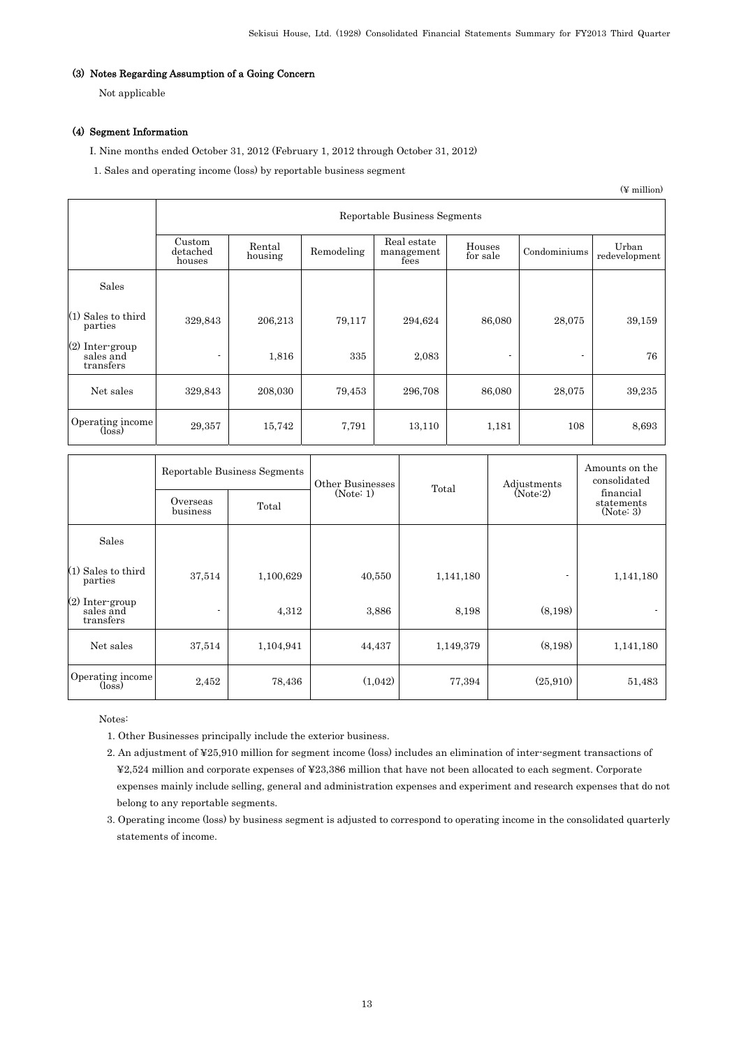## (3) Notes Regarding Assumption of a Going Concern

Not applicable

### (4) Segment Information

I. Nine months ended October 31, 2012 (February 1, 2012 through October 31, 2012)

1. Sales and operating income (loss) by reportable business segment

(¥ million)

|                                                | Reportable Business Segments |                   |            |                                   |                    |                          |                        |  |  |
|------------------------------------------------|------------------------------|-------------------|------------|-----------------------------------|--------------------|--------------------------|------------------------|--|--|
|                                                | Custom<br>detached<br>houses | Rental<br>housing | Remodeling | Real estate<br>management<br>fees | Houses<br>for sale | Condominiums             | Urban<br>redevelopment |  |  |
| Sales                                          |                              |                   |            |                                   |                    |                          |                        |  |  |
| (1) Sales to third<br>parties                  | 329,843                      | 206,213           | 79,117     | 294,624                           | 86,080             | 28,075                   | 39,159                 |  |  |
| $(2)$ Inter-group<br>sales and<br>transfers    | $\blacksquare$               | 1,816             | 335        | 2,083                             |                    | $\overline{\phantom{a}}$ | 76                     |  |  |
| Net sales                                      | 329,843                      | 208,030           | 79,453     | 296,708                           | 86,080             | 28,075                   | 39,235                 |  |  |
| Operating income<br>$(\overline{\text{loss}})$ | 29,357                       | 15,742            | 7,791      | 13,110                            | 1,181              | 108                      | 8,693                  |  |  |

|                                                | Reportable Business Segments |           | Other Businesses<br>(Note: 1) | Total     | Adjustments<br>(Note:2) | Amounts on the<br>consolidated<br>financial |  |
|------------------------------------------------|------------------------------|-----------|-------------------------------|-----------|-------------------------|---------------------------------------------|--|
|                                                | Overseas<br>business         | Total     |                               |           |                         | statements<br>(Note: 3)                     |  |
| Sales                                          |                              |           |                               |           |                         |                                             |  |
| $(1)$ Sales to third<br>parties                | 37,514                       | 1,100,629 | 40,550                        | 1,141,180 |                         | 1,141,180                                   |  |
| (2) Inter-group<br>sales and<br>transfers      |                              | 4,312     | 3,886                         | 8,198     | (8,198)                 |                                             |  |
| Net sales                                      | 37,514                       | 1,104,941 | 44,437                        | 1,149,379 | (8,198)                 | 1,141,180                                   |  |
| Operating income<br>$(\overline{\text{loss}})$ | 2,452                        | 78,436    | (1,042)                       | 77,394    | (25,910)                | 51,483                                      |  |

Notes:

- 1. Other Businesses principally include the exterior business.
- 2. An adjustment of ¥25,910 million for segment income (loss) includes an elimination of inter-segment transactions of ¥2,524 million and corporate expenses of ¥23,386 million that have not been allocated to each segment. Corporate expenses mainly include selling, general and administration expenses and experiment and research expenses that do not belong to any reportable segments.
- 3. Operating income (loss) by business segment is adjusted to correspond to operating income in the consolidated quarterly statements of income.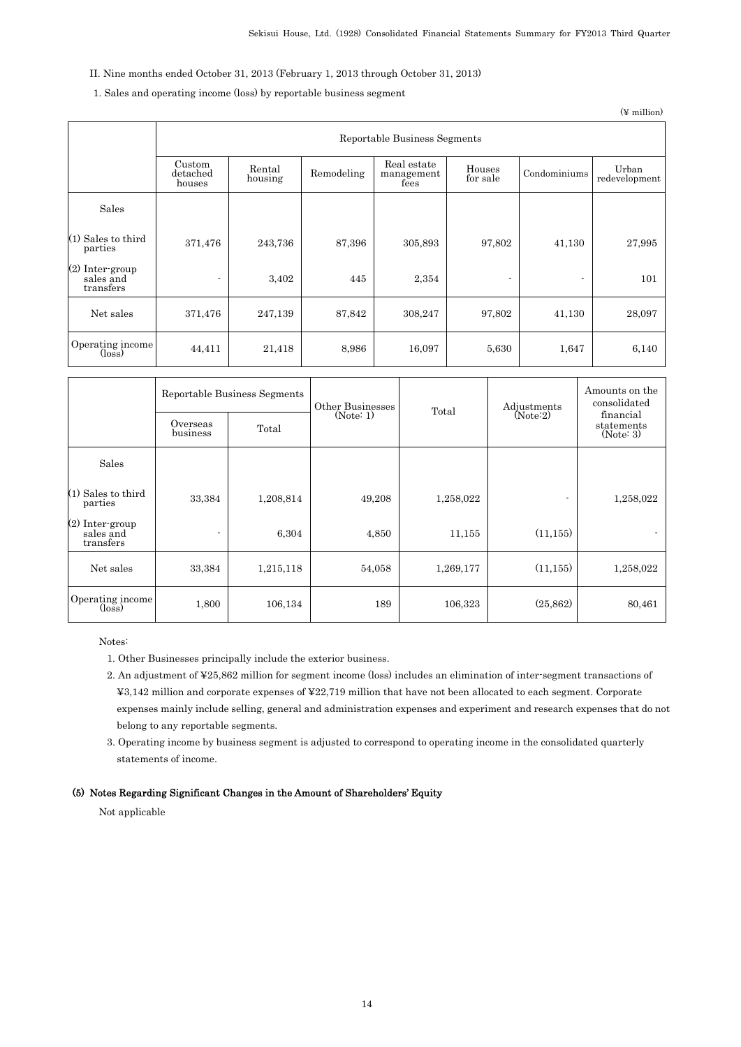## II. Nine months ended October 31, 2013 (February 1, 2013 through October 31, 2013)

## 1. Sales and operating income (loss) by reportable business segment

(¥ million)

|                                                | Reportable Business Segments |                   |            |                                   |                    |              |                        |  |
|------------------------------------------------|------------------------------|-------------------|------------|-----------------------------------|--------------------|--------------|------------------------|--|
|                                                | Custom<br>detached<br>houses | Rental<br>housing | Remodeling | Real estate<br>management<br>fees | Houses<br>for sale | Condominiums | Urban<br>redevelopment |  |
| Sales                                          |                              |                   |            |                                   |                    |              |                        |  |
| $(1)$ Sales to third<br>parties                | 371,476                      | 243,736           | 87,396     | 305,893                           | 97,802             | 41,130       | 27,995                 |  |
| (2) Inter-group<br>sales and<br>transfers      | $\blacksquare$               | 3,402             | 445        | 2,354                             | ٠                  | ٠            | 101                    |  |
| Net sales                                      | 371,476                      | 247,139           | 87,842     | 308,247                           | 97,802             | 41,130       | 28,097                 |  |
| Operating income<br>$(\overline{\text{loss}})$ | 44,411                       | 21,418            | 8,986      | 16,097                            | 5,630              | 1,647        | 6,140                  |  |

|                                                | Overseas<br>business | Reportable Business Segments<br>Total | Other Businesses<br>(Note: 1) | Total     | Adjustments<br>(Note:2) | Amounts on the<br>consolidated<br>financial<br>statements<br>(Note: 3) |
|------------------------------------------------|----------------------|---------------------------------------|-------------------------------|-----------|-------------------------|------------------------------------------------------------------------|
| Sales                                          |                      |                                       |                               |           |                         |                                                                        |
| $(1)$ Sales to third<br>parties                | 33,384               | 1,208,814                             | 49,208                        | 1,258,022 | ٠                       | 1,258,022                                                              |
| $(2)$ Inter-group<br>sales and<br>transfers    | ٠                    | 6,304                                 | 4,850                         | 11,155    | (11, 155)               | $\blacksquare$                                                         |
| Net sales                                      | 33,384               | 1,215,118                             | 54,058                        | 1,269,177 | (11, 155)               | 1,258,022                                                              |
| Operating income<br>$(\overline{\text{loss}})$ | 1,800                | 106,134                               | 189                           | 106,323   | (25, 862)               | 80,461                                                                 |

Notes:

1. Other Businesses principally include the exterior business.

- 2. An adjustment of ¥25,862 million for segment income (loss) includes an elimination of inter-segment transactions of ¥3,142 million and corporate expenses of ¥22,719 million that have not been allocated to each segment. Corporate expenses mainly include selling, general and administration expenses and experiment and research expenses that do not belong to any reportable segments.
- 3. Operating income by business segment is adjusted to correspond to operating income in the consolidated quarterly statements of income.

### (5) Notes Regarding Significant Changes in the Amount of Shareholders' Equity

Not applicable